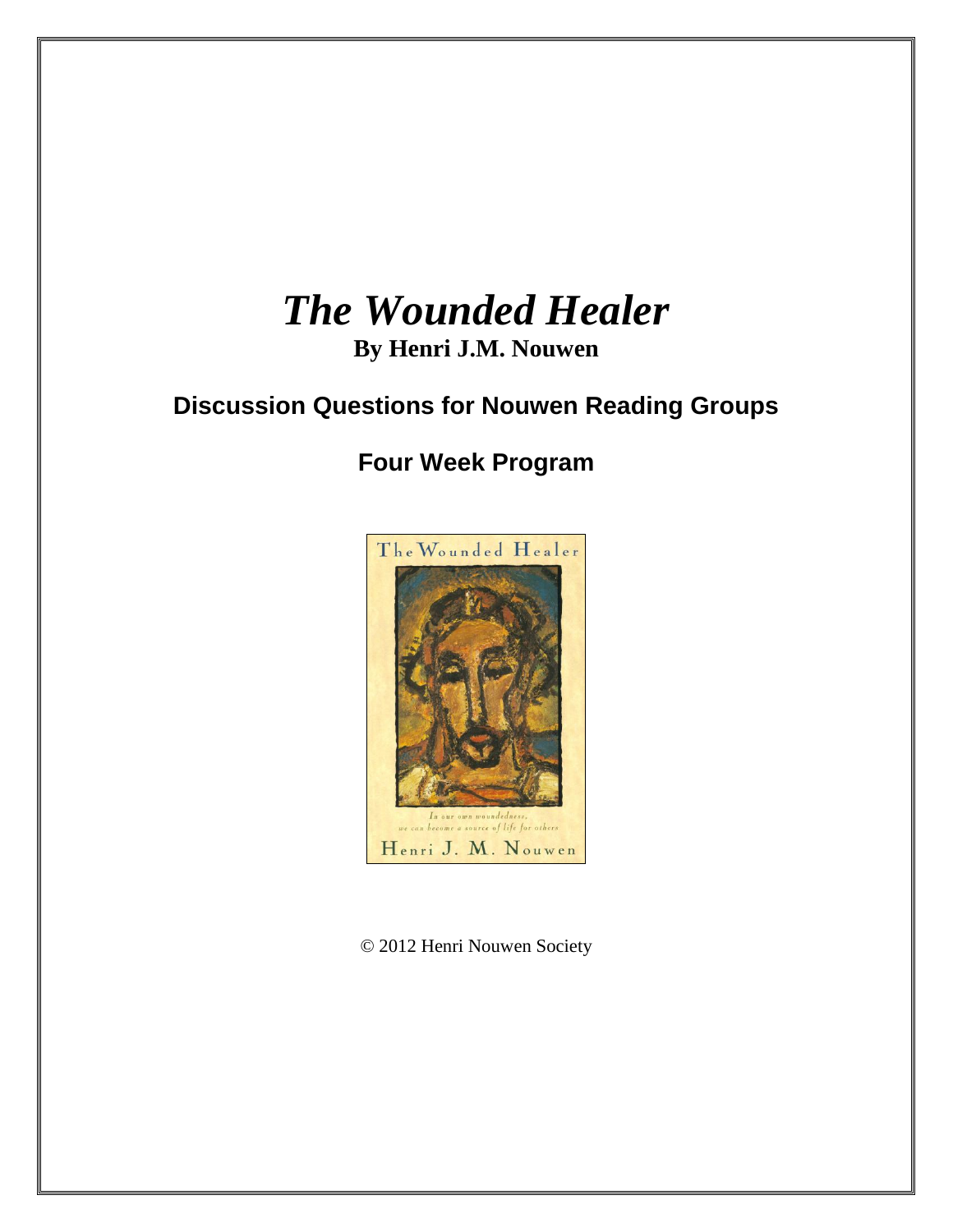# *The Wounded Healer*

# **By Henri J.M. Nouwen**

# **Discussion Questions for Nouwen Reading Groups**

# **Four Week Program**



© 2012 Henri Nouwen Society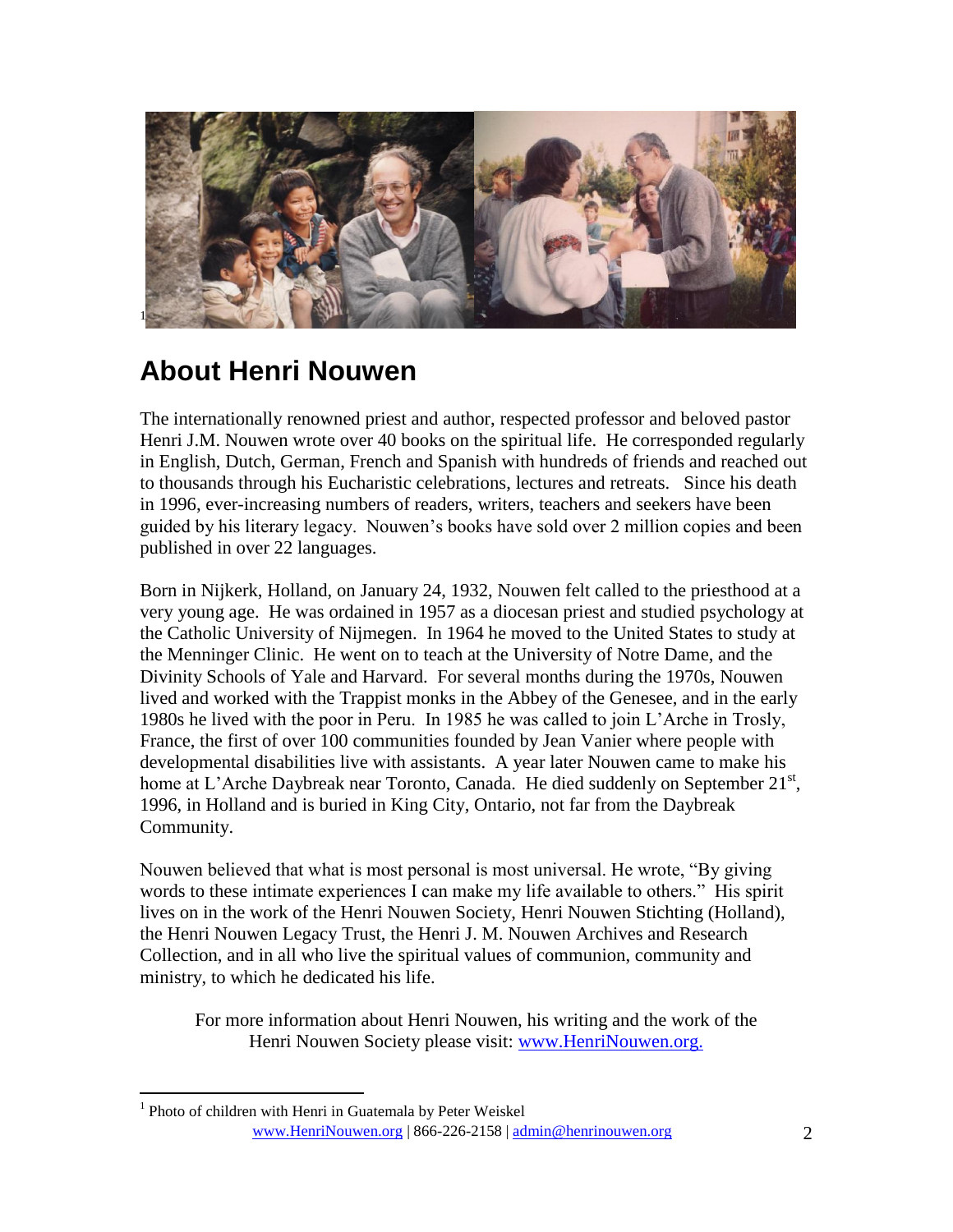

# **About Henri Nouwen**

The internationally renowned priest and author, respected professor and beloved pastor Henri J.M. Nouwen wrote over 40 books on the spiritual life. He corresponded regularly in English, Dutch, German, French and Spanish with hundreds of friends and reached out to thousands through his Eucharistic celebrations, lectures and retreats. Since his death in 1996, ever-increasing numbers of readers, writers, teachers and seekers have been guided by his literary legacy. Nouwen's books have sold over 2 million copies and been published in over 22 languages.

Born in Nijkerk, Holland, on January 24, 1932, Nouwen felt called to the priesthood at a very young age. He was ordained in 1957 as a diocesan priest and studied psychology at the Catholic University of Nijmegen. In 1964 he moved to the United States to study at the Menninger Clinic. He went on to teach at the University of Notre Dame, and the Divinity Schools of Yale and Harvard. For several months during the 1970s, Nouwen lived and worked with the Trappist monks in the Abbey of the Genesee, and in the early 1980s he lived with the poor in Peru. In 1985 he was called to join L'Arche in Trosly, France, the first of over 100 communities founded by Jean Vanier where people with developmental disabilities live with assistants. A year later Nouwen came to make his home at L'Arche Daybreak near Toronto, Canada. He died suddenly on September 21<sup>st</sup>, 1996, in Holland and is buried in King City, Ontario, not far from the Daybreak Community.

Nouwen believed that what is most personal is most universal. He wrote, "By giving words to these intimate experiences I can make my life available to others." His spirit lives on in the work of the Henri Nouwen Society, Henri Nouwen Stichting (Holland), the Henri Nouwen Legacy Trust, the Henri J. M. Nouwen Archives and Research Collection, and in all who live the spiritual values of communion, community and ministry, to which he dedicated his life.

For more information about Henri Nouwen, his writing and the work of the Henri Nouwen Society please visit: [www.HenriNouwen.org.](http://www.henrinouwen.org/henri/about/)

www.HenriNouwen.org | 866-226-2158 | admin@henrinouwen.org 2  $\overline{a}$ <sup>1</sup> Photo of children with Henri in Guatemala by Peter Weiskel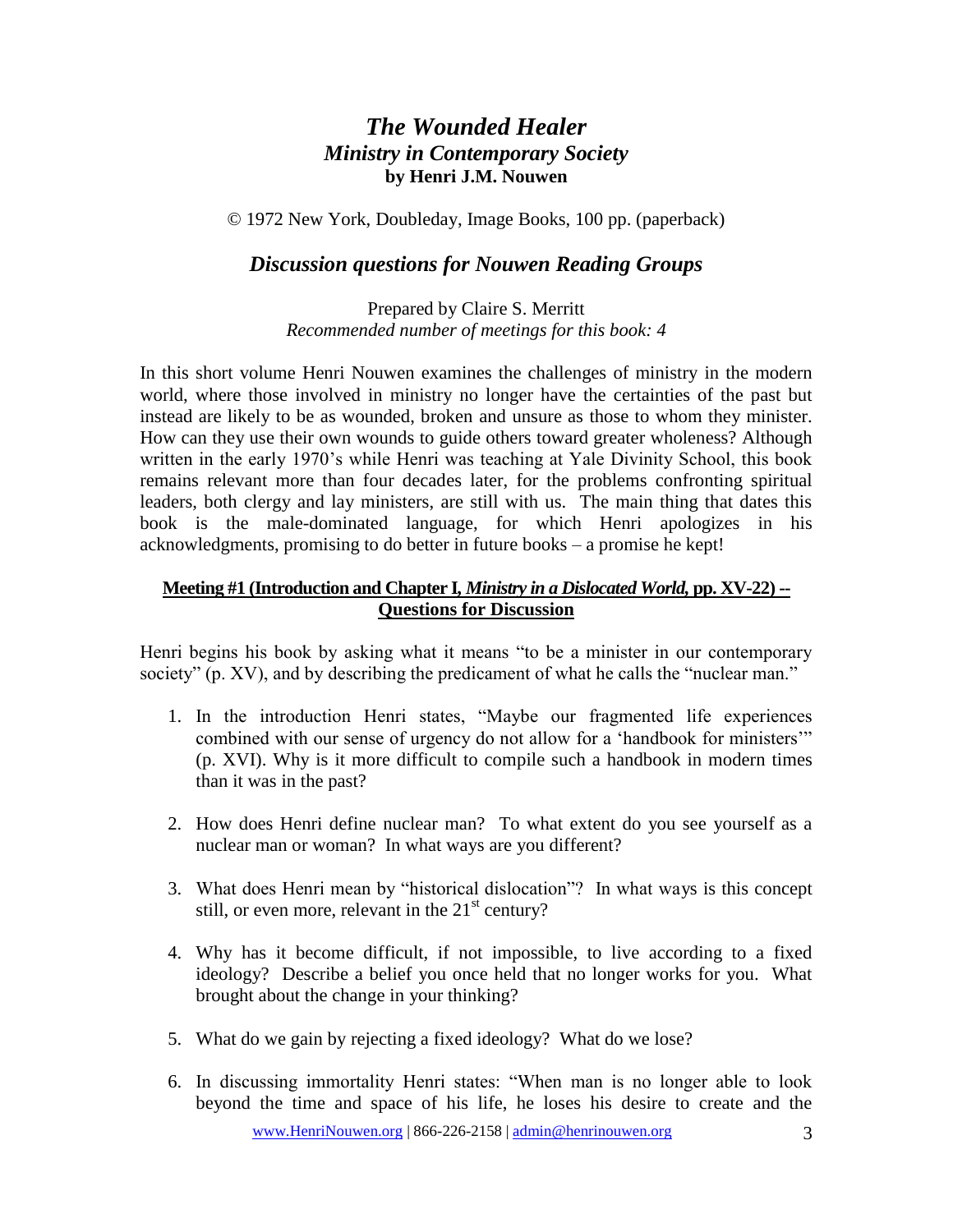### *The Wounded Healer Ministry in Contemporary Society* **by Henri J.M. Nouwen**

© 1972 New York, Doubleday, Image Books, 100 pp. (paperback)

#### *Discussion questions for Nouwen Reading Groups*

Prepared by Claire S. Merritt *Recommended number of meetings for this book: 4*

In this short volume Henri Nouwen examines the challenges of ministry in the modern world, where those involved in ministry no longer have the certainties of the past but instead are likely to be as wounded, broken and unsure as those to whom they minister. How can they use their own wounds to guide others toward greater wholeness? Although written in the early 1970's while Henri was teaching at Yale Divinity School, this book remains relevant more than four decades later, for the problems confronting spiritual leaders, both clergy and lay ministers, are still with us. The main thing that dates this book is the male-dominated language, for which Henri apologizes in his acknowledgments, promising to do better in future books – a promise he kept!

#### **Meeting #1 (Introduction and Chapter I***, Ministry in a Dislocated World,* **pp. XV-22) -- Questions for Discussion**

Henri begins his book by asking what it means "to be a minister in our contemporary society" (p. XV), and by describing the predicament of what he calls the "nuclear man."

- 1. In the introduction Henri states, "Maybe our fragmented life experiences combined with our sense of urgency do not allow for a 'handbook for ministers'" (p. XVI). Why is it more difficult to compile such a handbook in modern times than it was in the past?
- 2. How does Henri define nuclear man? To what extent do you see yourself as a nuclear man or woman? In what ways are you different?
- 3. What does Henri mean by "historical dislocation"? In what ways is this concept still, or even more, relevant in the  $21<sup>st</sup>$  century?
- 4. Why has it become difficult, if not impossible, to live according to a fixed ideology? Describe a belief you once held that no longer works for you. What brought about the change in your thinking?
- 5. What do we gain by rejecting a fixed ideology? What do we lose?
- 6. In discussing immortality Henri states: "When man is no longer able to look beyond the time and space of his life, he loses his desire to create and the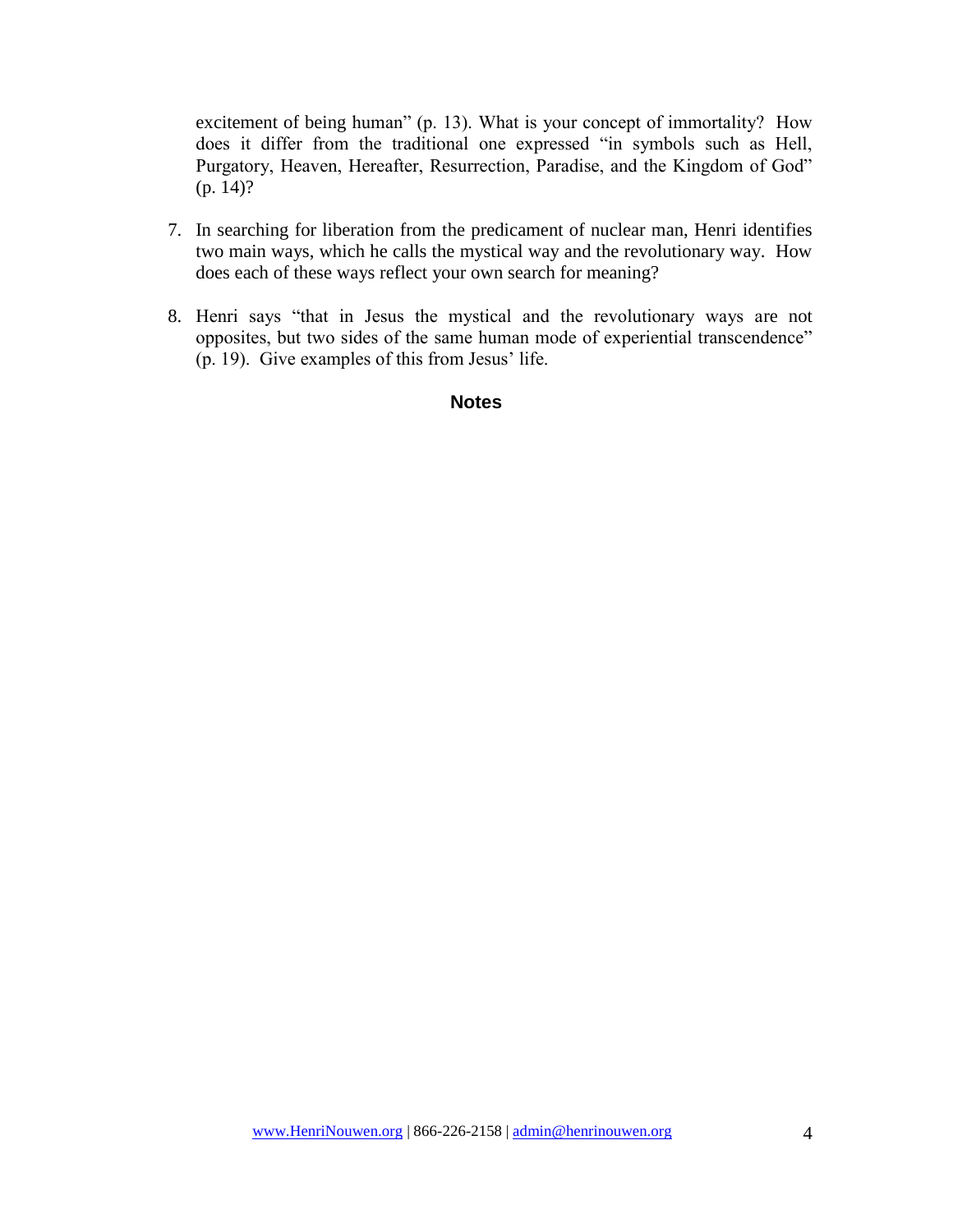excitement of being human" (p. 13). What is your concept of immortality? How does it differ from the traditional one expressed "in symbols such as Hell, Purgatory, Heaven, Hereafter, Resurrection, Paradise, and the Kingdom of God" (p. 14)?

- 7. In searching for liberation from the predicament of nuclear man, Henri identifies two main ways, which he calls the mystical way and the revolutionary way. How does each of these ways reflect your own search for meaning?
- 8. Henri says "that in Jesus the mystical and the revolutionary ways are not opposites, but two sides of the same human mode of experiential transcendence" (p. 19). Give examples of this from Jesus' life.

#### **Notes**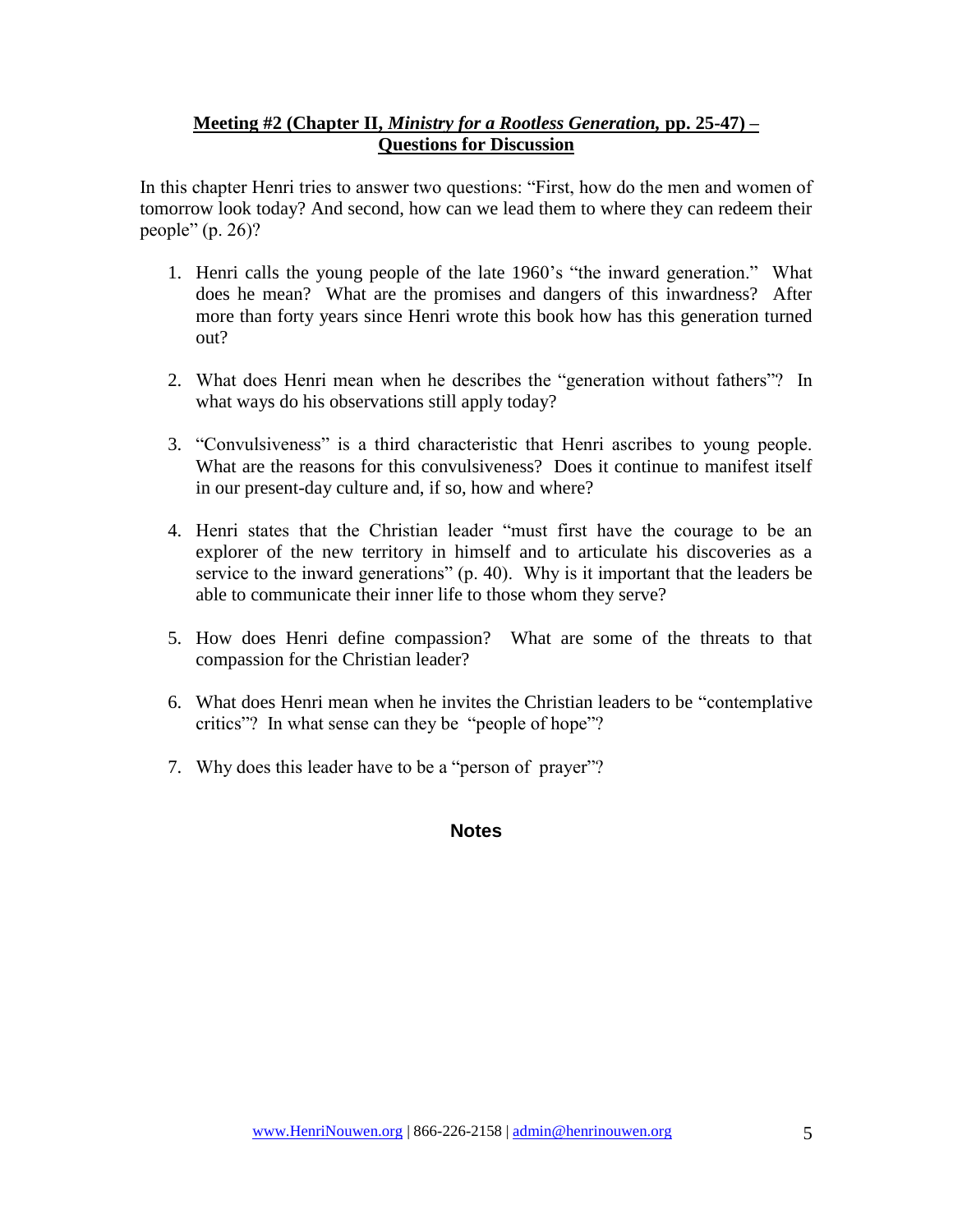#### **Meeting #2 (Chapter II,** *Ministry for a Rootless Generation,* **pp. 25-47) – Questions for Discussion**

In this chapter Henri tries to answer two questions: "First, how do the men and women of tomorrow look today? And second, how can we lead them to where they can redeem their people" (p. 26)?

- 1. Henri calls the young people of the late 1960's "the inward generation." What does he mean? What are the promises and dangers of this inwardness? After more than forty years since Henri wrote this book how has this generation turned out?
- 2. What does Henri mean when he describes the "generation without fathers"? In what ways do his observations still apply today?
- 3. "Convulsiveness" is a third characteristic that Henri ascribes to young people. What are the reasons for this convulsiveness? Does it continue to manifest itself in our present-day culture and, if so, how and where?
- 4. Henri states that the Christian leader "must first have the courage to be an explorer of the new territory in himself and to articulate his discoveries as a service to the inward generations" (p. 40). Why is it important that the leaders be able to communicate their inner life to those whom they serve?
- 5. How does Henri define compassion? What are some of the threats to that compassion for the Christian leader?
- 6. What does Henri mean when he invites the Christian leaders to be "contemplative critics"? In what sense can they be "people of hope"?
- 7. Why does this leader have to be a "person of prayer"?

#### **Notes**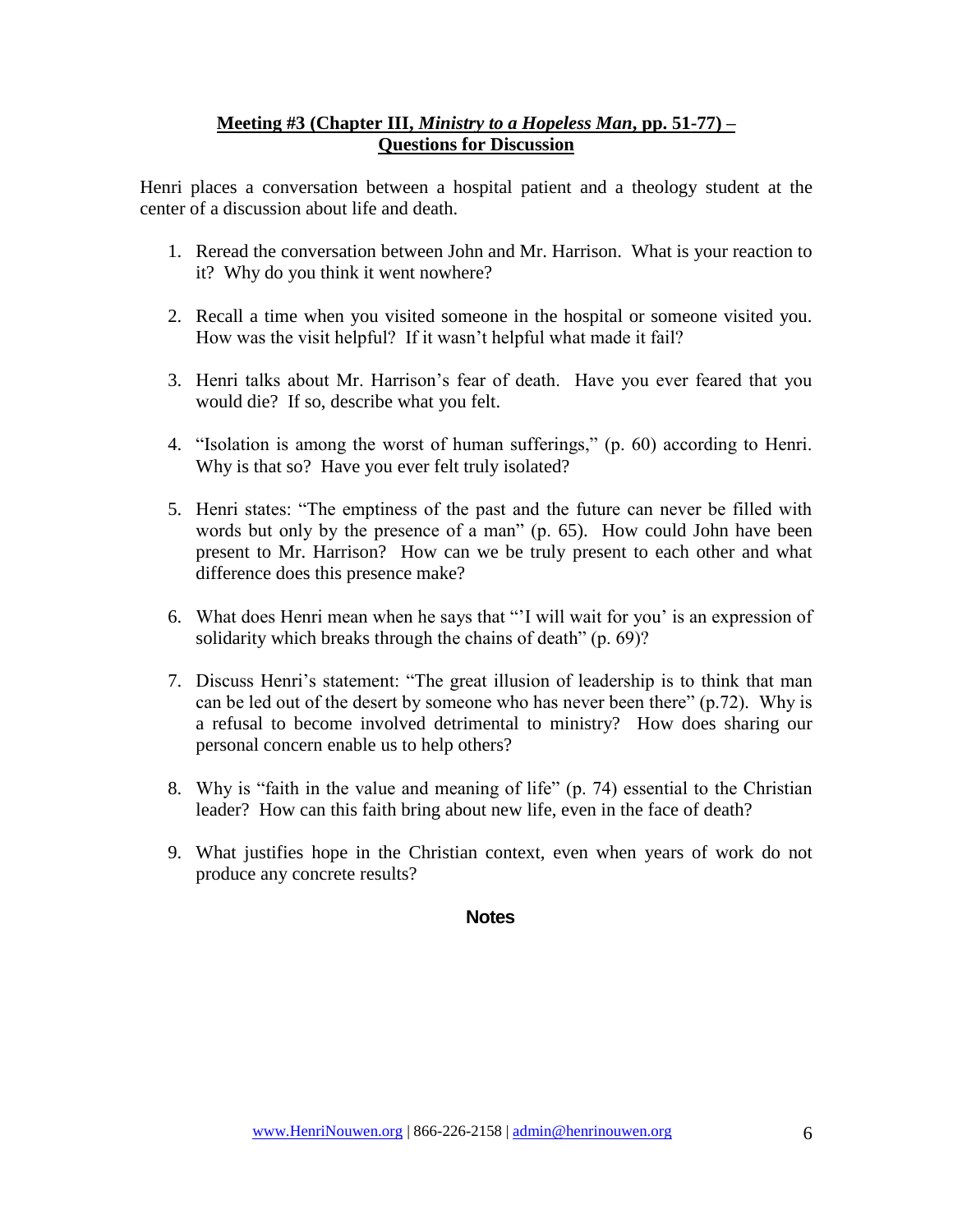#### **Meeting #3 (Chapter III,** *Ministry to a Hopeless Man***, pp. 51-77) – Questions for Discussion**

Henri places a conversation between a hospital patient and a theology student at the center of a discussion about life and death.

- 1. Reread the conversation between John and Mr. Harrison. What is your reaction to it? Why do you think it went nowhere?
- 2. Recall a time when you visited someone in the hospital or someone visited you. How was the visit helpful? If it wasn't helpful what made it fail?
- 3. Henri talks about Mr. Harrison's fear of death. Have you ever feared that you would die? If so, describe what you felt.
- 4. "Isolation is among the worst of human sufferings," (p. 60) according to Henri. Why is that so? Have you ever felt truly isolated?
- 5. Henri states: "The emptiness of the past and the future can never be filled with words but only by the presence of a man" (p. 65). How could John have been present to Mr. Harrison? How can we be truly present to each other and what difference does this presence make?
- 6. What does Henri mean when he says that "'I will wait for you' is an expression of solidarity which breaks through the chains of death" (p. 69)?
- 7. Discuss Henri's statement: "The great illusion of leadership is to think that man can be led out of the desert by someone who has never been there" (p.72). Why is a refusal to become involved detrimental to ministry? How does sharing our personal concern enable us to help others?
- 8. Why is "faith in the value and meaning of life" (p. 74) essential to the Christian leader? How can this faith bring about new life, even in the face of death?
- 9. What justifies hope in the Christian context, even when years of work do not produce any concrete results?

#### **Notes**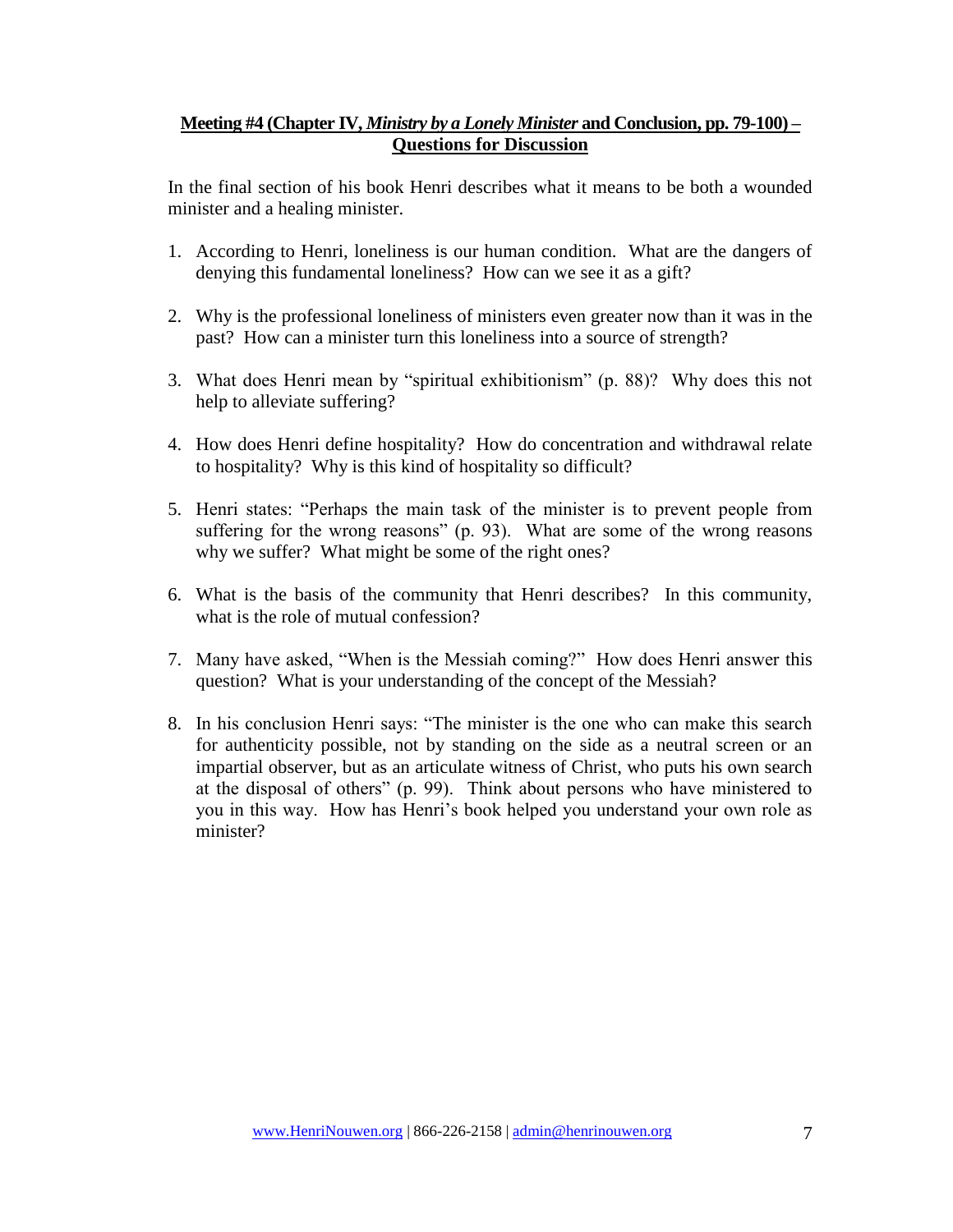#### **Meeting #4 (Chapter IV,** *Ministry by a Lonely Minister* **and Conclusion, pp. 79-100) – Questions for Discussion**

In the final section of his book Henri describes what it means to be both a wounded minister and a healing minister.

- 1. According to Henri, loneliness is our human condition. What are the dangers of denying this fundamental loneliness? How can we see it as a gift?
- 2. Why is the professional loneliness of ministers even greater now than it was in the past? How can a minister turn this loneliness into a source of strength?
- 3. What does Henri mean by "spiritual exhibitionism" (p. 88)? Why does this not help to alleviate suffering?
- 4. How does Henri define hospitality? How do concentration and withdrawal relate to hospitality? Why is this kind of hospitality so difficult?
- 5. Henri states: "Perhaps the main task of the minister is to prevent people from suffering for the wrong reasons" (p. 93). What are some of the wrong reasons why we suffer? What might be some of the right ones?
- 6. What is the basis of the community that Henri describes? In this community, what is the role of mutual confession?
- 7. Many have asked, "When is the Messiah coming?" How does Henri answer this question? What is your understanding of the concept of the Messiah?
- 8. In his conclusion Henri says: "The minister is the one who can make this search for authenticity possible, not by standing on the side as a neutral screen or an impartial observer, but as an articulate witness of Christ, who puts his own search at the disposal of others" (p. 99). Think about persons who have ministered to you in this way. How has Henri's book helped you understand your own role as minister?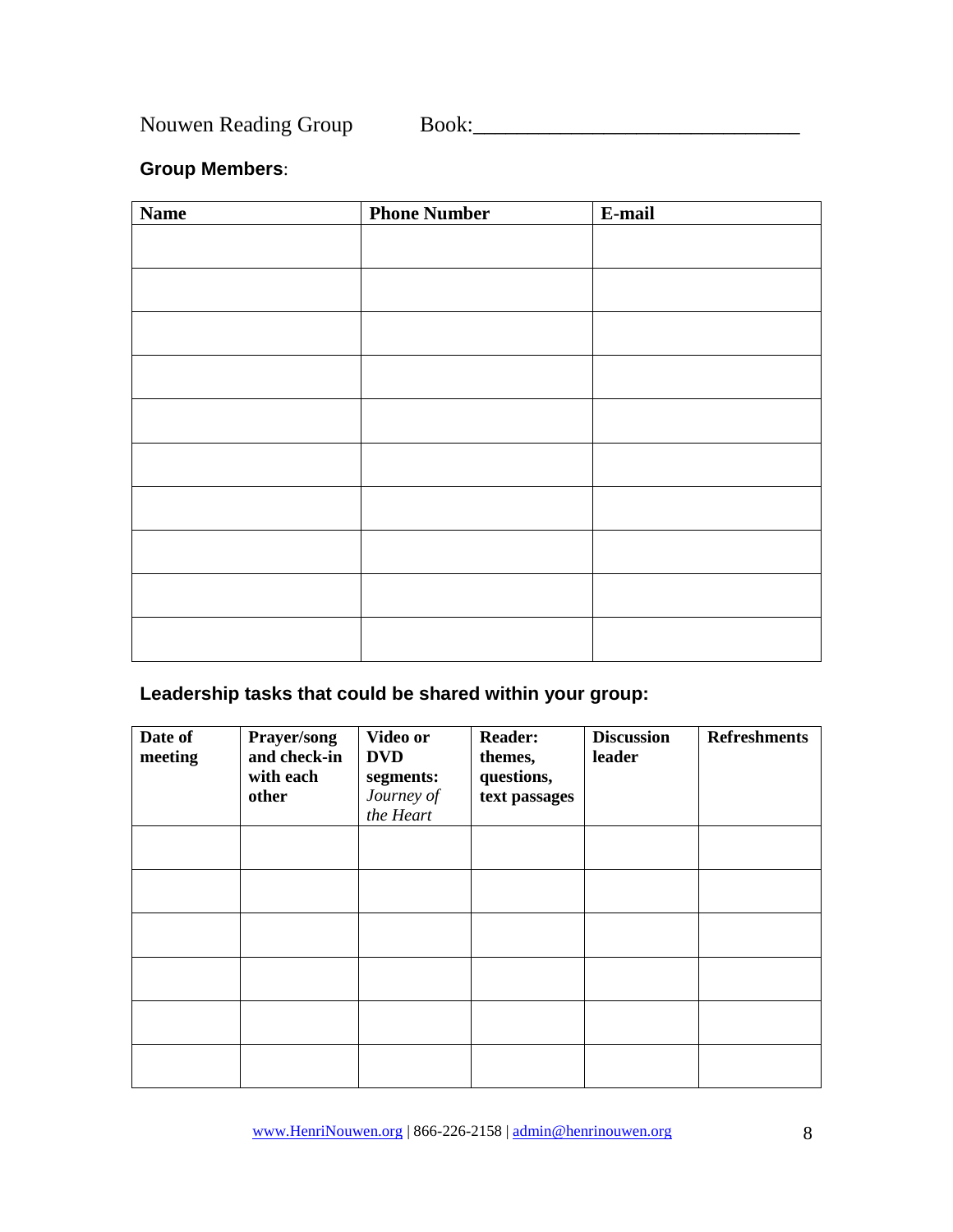Nouwen Reading Group Book:\_\_\_\_\_\_\_\_\_\_\_\_\_\_\_\_\_\_\_\_\_\_\_\_\_\_\_\_\_\_

#### **Group Members**:

| <b>Name</b> | <b>Phone Number</b> | E-mail |
|-------------|---------------------|--------|
|             |                     |        |
|             |                     |        |
|             |                     |        |
|             |                     |        |
|             |                     |        |
|             |                     |        |
|             |                     |        |
|             |                     |        |
|             |                     |        |
|             |                     |        |
|             |                     |        |
|             |                     |        |
|             |                     |        |
|             |                     |        |
|             |                     |        |
|             |                     |        |
|             |                     |        |
|             |                     |        |

#### **Leadership tasks that could be shared within your group:**

| Date of<br>meeting | Prayer/song<br>and check-in<br>with each<br>other | Video or<br><b>DVD</b><br>segments:<br>Journey of<br>the Heart | <b>Reader:</b><br>themes,<br>questions,<br>text passages | <b>Discussion</b><br>leader | <b>Refreshments</b> |
|--------------------|---------------------------------------------------|----------------------------------------------------------------|----------------------------------------------------------|-----------------------------|---------------------|
|                    |                                                   |                                                                |                                                          |                             |                     |
|                    |                                                   |                                                                |                                                          |                             |                     |
|                    |                                                   |                                                                |                                                          |                             |                     |
|                    |                                                   |                                                                |                                                          |                             |                     |
|                    |                                                   |                                                                |                                                          |                             |                     |
|                    |                                                   |                                                                |                                                          |                             |                     |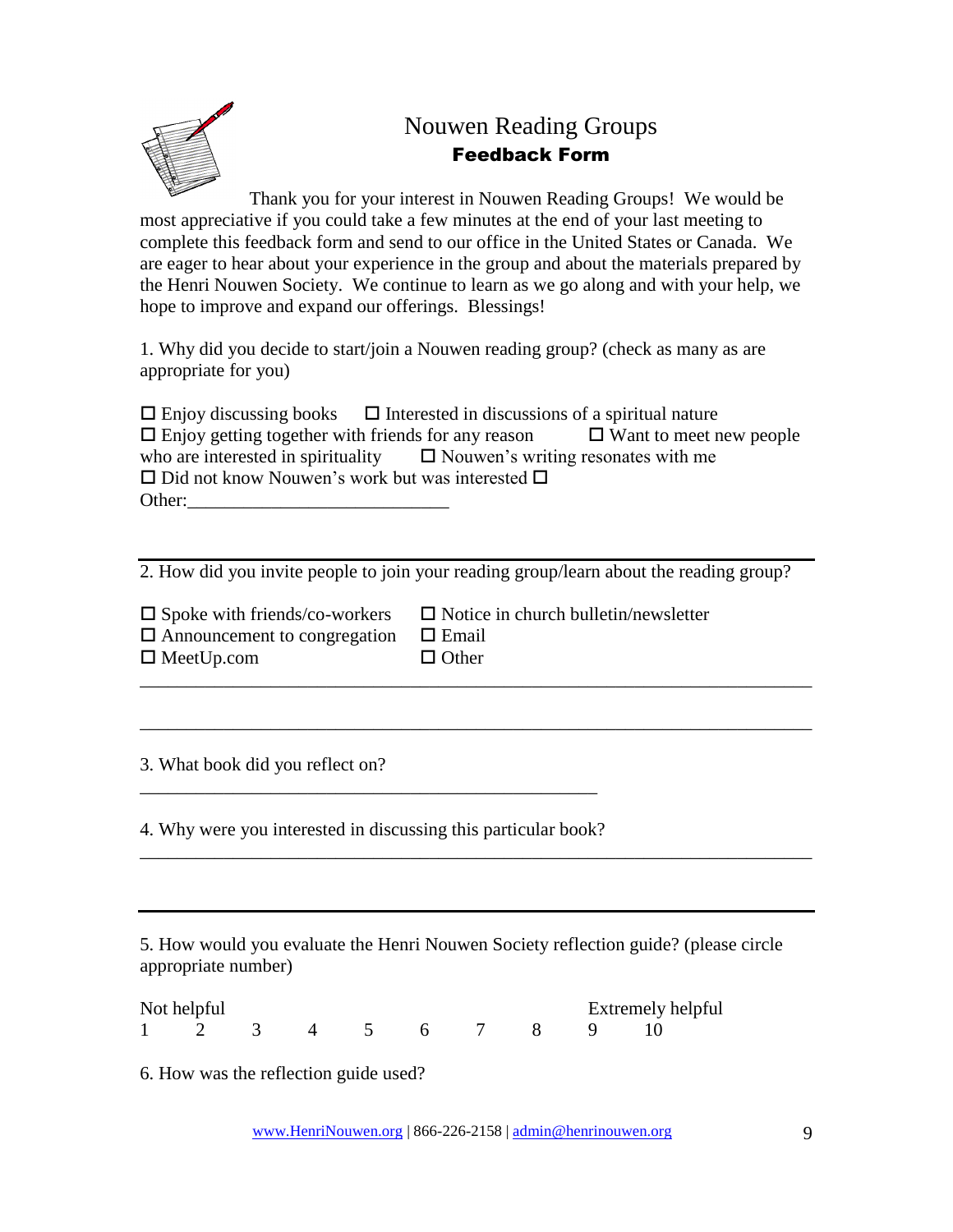

### Nouwen Reading Groups Feedback Form

Thank you for your interest in Nouwen Reading Groups! We would be most appreciative if you could take a few minutes at the end of your last meeting to complete this feedback form and send to our office in the United States or Canada. We are eager to hear about your experience in the group and about the materials prepared by the Henri Nouwen Society. We continue to learn as we go along and with your help, we hope to improve and expand our offerings. Blessings!

1. Why did you decide to start/join a Nouwen reading group? (check as many as are appropriate for you)

 $\Box$  Enjoy discussing books  $\Box$  Interested in discussions of a spiritual nature  $\Box$  Enjoy getting together with friends for any reason  $\Box$  Want to meet new people who are interested in spirituality  $\square$  Nouwen's writing resonates with me  $\square$  Did not know Nouwen's work but was interested  $\square$ Other:\_\_\_\_\_\_\_\_\_\_\_\_\_\_\_\_\_\_\_\_\_\_\_\_\_\_\_\_

2. How did you invite people to join your reading group/learn about the reading group?

\_\_\_\_\_\_\_\_\_\_\_\_\_\_\_\_\_\_\_\_\_\_\_\_\_\_\_\_\_\_\_\_\_\_\_\_\_\_\_\_\_\_\_\_\_\_\_\_\_\_\_\_\_\_\_\_\_\_\_\_\_\_\_\_\_\_\_\_\_\_\_\_

\_\_\_\_\_\_\_\_\_\_\_\_\_\_\_\_\_\_\_\_\_\_\_\_\_\_\_\_\_\_\_\_\_\_\_\_\_\_\_\_\_\_\_\_\_\_\_\_\_\_\_\_\_\_\_\_\_\_\_\_\_\_\_\_\_\_\_\_\_\_\_\_

|                                                  | $\Box$ Spoke with friends/co-workers $\Box$ Notice in church bulletin/newsletter |
|--------------------------------------------------|----------------------------------------------------------------------------------|
| $\Box$ Announcement to congregation $\Box$ Email |                                                                                  |
| $\Box$ MeetUp.com                                | $\Box$ Other                                                                     |

3. What book did you reflect on?

4. Why were you interested in discussing this particular book?

\_\_\_\_\_\_\_\_\_\_\_\_\_\_\_\_\_\_\_\_\_\_\_\_\_\_\_\_\_\_\_\_\_\_\_\_\_\_\_\_\_\_\_\_\_\_\_\_\_

5. How would you evaluate the Henri Nouwen Society reflection guide? (please circle appropriate number)

| Not helpful |  |  |  |  |  | Extremely helpful |  |  |  |  |
|-------------|--|--|--|--|--|-------------------|--|--|--|--|
|             |  |  |  |  |  |                   |  |  |  |  |

6. How was the reflection guide used?